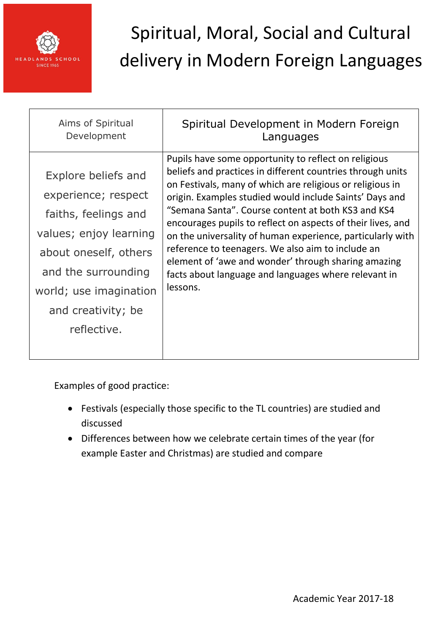

| Aims of Spiritual<br>Development                                                                                                                                                                            | Spiritual Development in Modern Foreign<br>Languages                                                                                                                                                                                                                                                                                                                                                                                                                                                                                                                                                          |
|-------------------------------------------------------------------------------------------------------------------------------------------------------------------------------------------------------------|---------------------------------------------------------------------------------------------------------------------------------------------------------------------------------------------------------------------------------------------------------------------------------------------------------------------------------------------------------------------------------------------------------------------------------------------------------------------------------------------------------------------------------------------------------------------------------------------------------------|
| Explore beliefs and<br>experience; respect<br>faiths, feelings and<br>values; enjoy learning<br>about oneself, others<br>and the surrounding<br>world; use imagination<br>and creativity; be<br>reflective. | Pupils have some opportunity to reflect on religious<br>beliefs and practices in different countries through units<br>on Festivals, many of which are religious or religious in<br>origin. Examples studied would include Saints' Days and<br>"Semana Santa". Course content at both KS3 and KS4<br>encourages pupils to reflect on aspects of their lives, and<br>on the universality of human experience, particularly with<br>reference to teenagers. We also aim to include an<br>element of 'awe and wonder' through sharing amazing<br>facts about language and languages where relevant in<br>lessons. |
|                                                                                                                                                                                                             |                                                                                                                                                                                                                                                                                                                                                                                                                                                                                                                                                                                                               |

- Festivals (especially those specific to the TL countries) are studied and discussed
- Differences between how we celebrate certain times of the year (for example Easter and Christmas) are studied and compare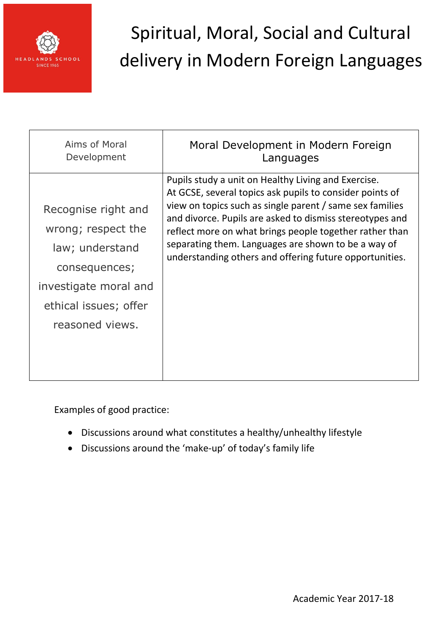

| Aims of Moral         | Moral Development in Modern Foreign                      |
|-----------------------|----------------------------------------------------------|
| Development           | Languages                                                |
| Recognise right and   | Pupils study a unit on Healthy Living and Exercise.      |
| wrong; respect the    | At GCSE, several topics ask pupils to consider points of |
| law; understand       | view on topics such as single parent / same sex families |
| consequences;         | and divorce. Pupils are asked to dismiss stereotypes and |
| investigate moral and | reflect more on what brings people together rather than  |
| ethical issues; offer | separating them. Languages are shown to be a way of      |
| reasoned views.       | understanding others and offering future opportunities.  |

- Discussions around what constitutes a healthy/unhealthy lifestyle
- Discussions around the 'make-up' of today's family life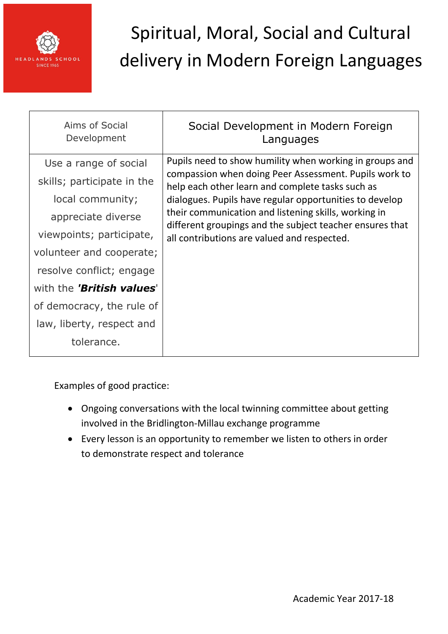

| Aims of Social<br>Development    | Social Development in Modern Foreign<br>Languages                                                                                                                                                                                                                                                                                                   |
|----------------------------------|-----------------------------------------------------------------------------------------------------------------------------------------------------------------------------------------------------------------------------------------------------------------------------------------------------------------------------------------------------|
| Use a range of social            | Pupils need to show humility when working in groups and<br>compassion when doing Peer Assessment. Pupils work to<br>help each other learn and complete tasks such as<br>dialogues. Pupils have regular opportunities to develop<br>their communication and listening skills, working in<br>different groupings and the subject teacher ensures that |
| skills; participate in the       |                                                                                                                                                                                                                                                                                                                                                     |
| local community;                 |                                                                                                                                                                                                                                                                                                                                                     |
| appreciate diverse               |                                                                                                                                                                                                                                                                                                                                                     |
| viewpoints; participate,         | all contributions are valued and respected.                                                                                                                                                                                                                                                                                                         |
| volunteer and cooperate;         |                                                                                                                                                                                                                                                                                                                                                     |
| resolve conflict; engage         |                                                                                                                                                                                                                                                                                                                                                     |
| with the <b>'British values'</b> |                                                                                                                                                                                                                                                                                                                                                     |
| of democracy, the rule of        |                                                                                                                                                                                                                                                                                                                                                     |
| law, liberty, respect and        |                                                                                                                                                                                                                                                                                                                                                     |
| tolerance.                       |                                                                                                                                                                                                                                                                                                                                                     |

- Ongoing conversations with the local twinning committee about getting involved in the Bridlington-Millau exchange programme
- Every lesson is an opportunity to remember we listen to others in order to demonstrate respect and tolerance